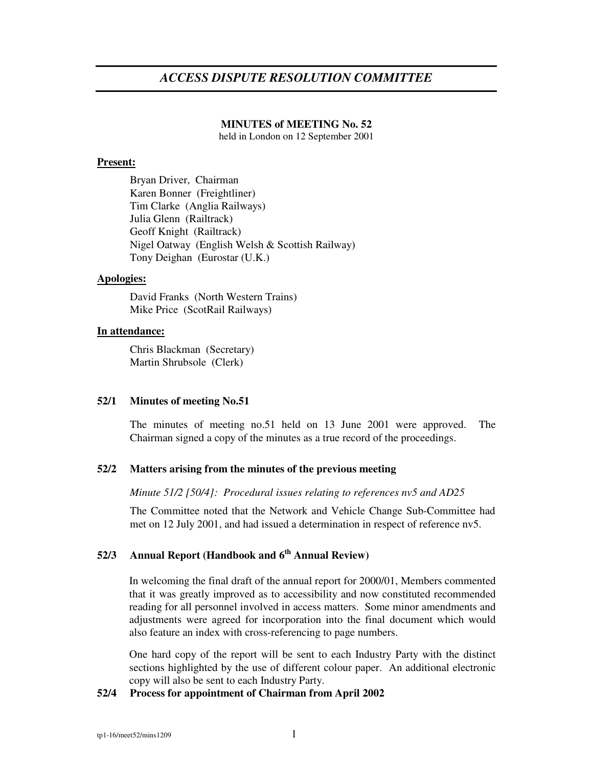# *ACCESS DISPUTE RESOLUTION COMMITTEE*

### **MINUTES of MEETING No. 52**

held in London on 12 September 2001

### **Present:**

Bryan Driver, Chairman Karen Bonner (Freightliner) Tim Clarke (Anglia Railways) Julia Glenn (Railtrack) Geoff Knight (Railtrack) Nigel Oatway (English Welsh & Scottish Railway) Tony Deighan (Eurostar (U.K.)

### **Apologies:**

David Franks (North Western Trains) Mike Price (ScotRail Railways)

#### **In attendance:**

Chris Blackman (Secretary) Martin Shrubsole (Clerk)

### **52/1 Minutes of meeting No.51**

The minutes of meeting no.51 held on 13 June 2001 were approved. The Chairman signed a copy of the minutes as a true record of the proceedings.

# **52/2 Matters arising from the minutes of the previous meeting**

*Minute 51/2 [50/4]: Procedural issues relating to references nv5 and AD25*

The Committee noted that the Network and Vehicle Change Sub-Committee had met on 12 July 2001, and had issued a determination in respect of reference nv5.

# **52/3 Annual Report (Handbook and 6 th Annual Review)**

In welcoming the final draft of the annual report for 2000/01, Members commented that it was greatly improved as to accessibility and now constituted recommended reading for all personnel involved in access matters. Some minor amendments and adjustments were agreed for incorporation into the final document which would also feature an index with cross-referencing to page numbers.

One hard copy of the report will be sent to each Industry Party with the distinct sections highlighted by the use of different colour paper. An additional electronic copy will also be sent to each Industry Party.

# **52/4 Process for appointment of Chairman from April 2002**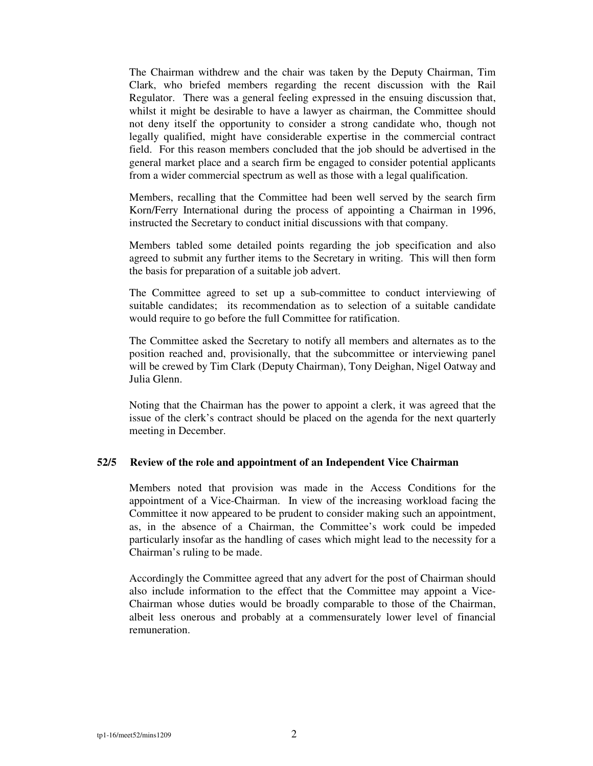The Chairman withdrew and the chair was taken by the Deputy Chairman, Tim Clark, who briefed members regarding the recent discussion with the Rail Regulator. There was a general feeling expressed in the ensuing discussion that, whilst it might be desirable to have a lawyer as chairman, the Committee should not deny itself the opportunity to consider a strong candidate who, though not legally qualified, might have considerable expertise in the commercial contract field. For this reason members concluded that the job should be advertised in the general market place and a search firm be engaged to consider potential applicants from a wider commercial spectrum as well as those with a legal qualification.

Members, recalling that the Committee had been well served by the search firm Korn/Ferry International during the process of appointing a Chairman in 1996, instructed the Secretary to conduct initial discussions with that company.

Members tabled some detailed points regarding the job specification and also agreed to submit any further items to the Secretary in writing. This will then form the basis for preparation of a suitable job advert.

The Committee agreed to set up a sub-committee to conduct interviewing of suitable candidates; its recommendation as to selection of a suitable candidate would require to go before the full Committee for ratification.

The Committee asked the Secretary to notify all members and alternates as to the position reached and, provisionally, that the subcommittee or interviewing panel will be crewed by Tim Clark (Deputy Chairman), Tony Deighan, Nigel Oatway and Julia Glenn.

Noting that the Chairman has the power to appoint a clerk, it was agreed that the issue of the clerk's contract should be placed on the agenda for the next quarterly meeting in December.

### **52/5 Review of the role and appointment of an Independent Vice Chairman**

Members noted that provision was made in the Access Conditions for the appointment of a Vice-Chairman. In view of the increasing workload facing the Committee it now appeared to be prudent to consider making such an appointment, as, in the absence of a Chairman, the Committee's work could be impeded particularly insofar as the handling of cases which might lead to the necessity for a Chairman's ruling to be made.

Accordingly the Committee agreed that any advert for the post of Chairman should also include information to the effect that the Committee may appoint a Vice-Chairman whose duties would be broadly comparable to those of the Chairman, albeit less onerous and probably at a commensurately lower level of financial remuneration.